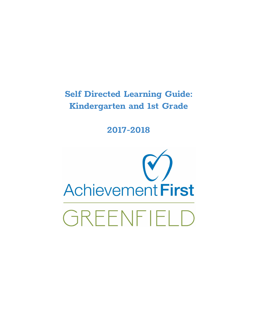# **Self Directed Learning Guide: Kindergarten and 1st Grade**

# **2017-2018**

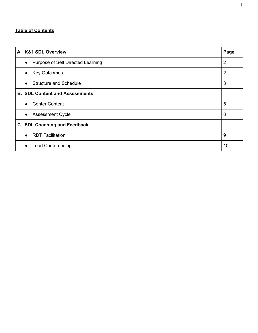# **Table of Contents**

| A. K&1 SDL Overview                            | Page |
|------------------------------------------------|------|
| Purpose of Self Directed Learning<br>$\bullet$ | 2    |
| <b>Key Outcomes</b><br>$\bullet$               | 2    |
| <b>Structure and Schedule</b><br>$\bullet$     | 3    |
| <b>B. SDL Content and Assessments</b>          |      |
| <b>Center Content</b><br>$\bullet$             | 5    |
| <b>Assessment Cycle</b><br>$\bullet$           | 8    |
| C. SDL Coaching and Feedback                   |      |
| <b>RDT Facilitation</b><br>$\bullet$           | 9    |
| <b>Lead Conferencing</b><br>$\bullet$          | 10   |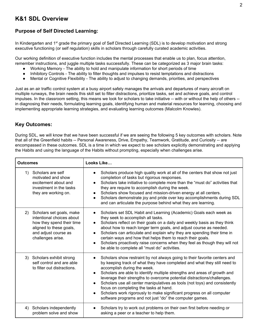# **K&1 SDL Overview**

# **Purpose of Self Directed Learning:**

In Kindergarten and 1<sup>st</sup> grade the primary goal of Self Directed Learning (SDL) is to develop motivation and strong executive functioning (or self regulation) skills in scholars through carefully curated academic activities.

Our working definition of executive function includes the mental processes that enable us to plan, focus attention, remember instructions, and juggle multiple tasks successfully. These can be categorized as 3 major brain tasks:

- Working Memory The ability to hold and manipulate information for short periods of time
- Inhibitory Controls The ability to filter thoughts and impulses to resist temptations and distractions
- Mental or Cognitive Flexibility The ability to adjust to changing demands, priorities, and perspectives

Just as an air traffic control system at a busy airport safely manages the arrivals and departures of many aircraft on multiple runways, the brain needs this skill set to filter distractions, prioritize tasks, set and achieve goals, and control impulses. In the classroom setting, this means we look for scholars to take initiative -- with or without the help of others -in diagnosing their needs, formulating learning goals, identifying human and material resources for learning, choosing and implementing appropriate learning strategies, and evaluating learning outcomes (Malcolm Knowles).

# **Key Outcomes:**

During SDL, we will know that we have been successful if we are seeing the following 5 key outcomes with scholars. Note that all of the Greenfield habits -- Personal Awareness, Drive, Empathy, Teamwork, Gratitude, and Curiosity -- are encompassed in these outcomes. SDL is a time in which we expect to see scholars explicitly demonstrating and applying the Habits and using the language of the Habits without prompting, especially when challenges arise.

| <b>Outcomes</b> |                                                                                                                                                            | Looks Like                                                                                                                                                                                                                                                                                                                                                                                                                                                                                                                                                                                              |
|-----------------|------------------------------------------------------------------------------------------------------------------------------------------------------------|---------------------------------------------------------------------------------------------------------------------------------------------------------------------------------------------------------------------------------------------------------------------------------------------------------------------------------------------------------------------------------------------------------------------------------------------------------------------------------------------------------------------------------------------------------------------------------------------------------|
| 1)              | Scholars are self<br>motivated and show<br>excitement about and<br>investment in the tasks<br>they are working on.                                         | Scholars produce high quality work at all of the centers that show not just<br>$\bullet$<br>completion of tasks but rigorous responses.<br>Scholars take initiative to complete more than the "must do" activities that<br>$\bullet$<br>they are require to accomplish during the week.<br>Scholars show focused and mission-driven energy at all centers.<br>$\bullet$<br>Scholars demonstrate joy and pride over key accomplishments during SDL<br>and can articulate the purpose behind what they are learning.                                                                                      |
| 2)              | Scholars set goals, make<br>intentional choices about<br>how they spend their time<br>aligned to these goals,<br>and adjust course as<br>challenges arise. | Scholars set SDL Habit and Learning (Academic) Goals each week as<br>$\bullet$<br>they seek to accomplish all tasks.<br>Scholars reflect on their goals on a daily and weekly basis as they think<br>$\bullet$<br>about how to reach longer term goals, and adjust course as needed.<br>Scholars can articulate and explain why they are spending their time in<br>$\bullet$<br>certain ways and how that helps them to reach their goals.<br>Scholars proactively raise concerns when they feel as though they will not<br>be able to complete all "must do" activities.                               |
|                 | 3) Scholars exhibit strong<br>self control and are able<br>to filter out distractions.                                                                     | Scholars show restraint by not always going to their favorite centers and<br>by keeping track of what they have completed and what they still need to<br>accomplish during the week.<br>Scholars are able to identify multiple strengths and areas of growth and<br>leverage their strengths to overcome potential distractions/challenges.<br>Scholars use all center manipulatives as tools (not toys) and consistently<br>focus on completing the tasks at hand.<br>Scholars work rigorously to make significant progress on all computer<br>software programs and not just "do" the computer games. |
| 4)              | Scholars independently<br>problem solve and show                                                                                                           | Scholars try to work out problems on their own first before needing or<br>asking a peer or a teacher to help them.                                                                                                                                                                                                                                                                                                                                                                                                                                                                                      |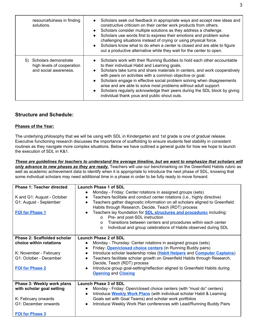| resourcefulness in finding<br>solutions.                                          | Scholars seek out feedback in appropriate ways and accept new ideas and<br>constructive criticism on their center work products from others.<br>Scholars consider multiple solutions as they address a challenge.<br>$\bullet$<br>Scholars use words first to express their emotions and problem solve<br>challenging situations instead of crying or using physical force.<br>Scholars know what to do when a center is closed and are able to figure<br>$\bullet$<br>out a productive alternative while they wait for the center to open.                              |
|-----------------------------------------------------------------------------------|--------------------------------------------------------------------------------------------------------------------------------------------------------------------------------------------------------------------------------------------------------------------------------------------------------------------------------------------------------------------------------------------------------------------------------------------------------------------------------------------------------------------------------------------------------------------------|
| Scholars demonstrate<br>5)<br>high levels of cooperation<br>and social awareness. | Scholars work with their Running Buddies to hold each other accountable<br>to their individual Habit and Learning goals.<br>Scholars take turns and share materials in centers, and work cooperatively<br>with peers on activities with a common objective or goal.<br>Scholars engage in effective social problem solving when disagreements<br>$\bullet$<br>arise and are able to solve most problems without adult support.<br>Scholars regularly acknowledge their peers during the SDL block by giving<br>$\bullet$<br>individual thank yous and public shout outs. |

### **Structure and Schedule:**

#### **Phases of the Year:**

The underlying philosophy that we will be using with SDL in Kindergarten and 1st grade is one of gradual release. Executive functioning research discusses the importance of scaffolding to ensure students feel stability in consistent routines as they navigate more complex situations. Below we have outlined a general guide for how we hope to launch the execution of SDL in K&1.

These are guidelines for teachers to understand the average timeline, but we want to emphasize that scholars will *only advance to new phases as they are ready.* Teachers will use our benchmarking on the Greenfield Habits rubric as well as academic achievement data to identify when it is appropriate to introduce the next phase of SDL, knowing that some individual scholars may need additional time in a phase in order to be fully ready to move forward.

| Phase 1: Teacher directed                                                      | Launch Phase 1 of SDL                                                                                                                                                                                                                                                                                                                                                                                                                                                                                                                                                                                                        |  |
|--------------------------------------------------------------------------------|------------------------------------------------------------------------------------------------------------------------------------------------------------------------------------------------------------------------------------------------------------------------------------------------------------------------------------------------------------------------------------------------------------------------------------------------------------------------------------------------------------------------------------------------------------------------------------------------------------------------------|--|
| K and G1: August - October<br>G1: August - September<br><b>FOI for Phase 1</b> | Monday - Friday: Center rotations in assigned groups (sets)<br>$\bullet$<br>Teachers facilitate and conduct center rotations (i.e., highly directive)<br>$\bullet$<br>Teachers gather diagnostic information on all scholars aligned to Greenfield<br>$\bullet$<br>Habits through Research, Decide, Teach (RDT) process<br>Teachers lay foundation for <b>SDL structures and procedures</b> including:<br>$\bullet$<br>Pre- and post-SDL instruction<br>$\Omega$<br>Transitions between centers and procedures within each center<br>$\Omega$<br>Individual and group celebrations of Habits observed during SDL<br>$\Omega$ |  |
|                                                                                |                                                                                                                                                                                                                                                                                                                                                                                                                                                                                                                                                                                                                              |  |
| Phase 2: Scaffolded scholar                                                    | <b>Launch Phase 2 of SDL</b>                                                                                                                                                                                                                                                                                                                                                                                                                                                                                                                                                                                                 |  |
| choice within rotations                                                        | Monday - Thursday: Center rotations in assigned groups (sets)<br>$\bullet$                                                                                                                                                                                                                                                                                                                                                                                                                                                                                                                                                   |  |
|                                                                                | Friday: Open/closed choice centers (in Running Buddy pairs)<br>$\bullet$                                                                                                                                                                                                                                                                                                                                                                                                                                                                                                                                                     |  |
| K: November - February                                                         | Introduce scholar leadership roles (Habit Helpers and Computer Captains)<br>$\bullet$                                                                                                                                                                                                                                                                                                                                                                                                                                                                                                                                        |  |
| G1: October - December                                                         | Teachers facilitate scholar growth on Greenfield Habits through Research,<br>$\bullet$<br>Decide, Teach (RDT) process                                                                                                                                                                                                                                                                                                                                                                                                                                                                                                        |  |
| <b>FOI for Phase 2</b>                                                         | Introduce group goal-setting/reflection aligned to Greenfield Habits during<br>$\bullet$                                                                                                                                                                                                                                                                                                                                                                                                                                                                                                                                     |  |
|                                                                                | <b>Opening and Closing</b>                                                                                                                                                                                                                                                                                                                                                                                                                                                                                                                                                                                                   |  |
|                                                                                |                                                                                                                                                                                                                                                                                                                                                                                                                                                                                                                                                                                                                              |  |
| Phase 3: Weekly work plans                                                     | Launch Phase 3 of SDL                                                                                                                                                                                                                                                                                                                                                                                                                                                                                                                                                                                                        |  |
| with scholar goal setting                                                      | Monday - Friday: Open/closed choice centers (with "must do" centers)<br>$\bullet$                                                                                                                                                                                                                                                                                                                                                                                                                                                                                                                                            |  |
|                                                                                | Introduce Weekly Work Plans (with individual scholar Habit & Learning<br>$\bullet$                                                                                                                                                                                                                                                                                                                                                                                                                                                                                                                                           |  |
| K: February onwards                                                            | Goals set with Goal Teams) and scholar work portfolios                                                                                                                                                                                                                                                                                                                                                                                                                                                                                                                                                                       |  |
| G1: December onwards                                                           | Introduce Weekly Work Plan conferences with Lead/Running Buddy Pairs<br>$\bullet$                                                                                                                                                                                                                                                                                                                                                                                                                                                                                                                                            |  |
| <b>FOI for Phase 3</b>                                                         |                                                                                                                                                                                                                                                                                                                                                                                                                                                                                                                                                                                                                              |  |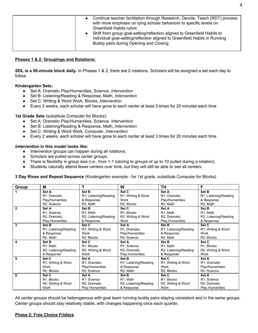|--|

#### **Phases 1 & 2: Groupings and Rotations:**

**SDL is a 50-minute block daily.** In Phases 1 & 2, there are 2 rotations. Scholars will be assigned a set each day to follow.

#### **Kindergarten Sets:**

- Set A: Dramatic Play/Humanities, Science, *Intervention*
- Set B: Listening/Reading & Response, Math, *Intervention*
- Set C: Writing & Word Work, Blocks, *Intervention*
- Every 2 weeks, each scholar will have gone to each center at least 3 times for 20 minutes each time

#### **1st Grade Sets** (substitute Computer for Blocks):

- Set A: Dramatic Play/Humanities, Science, *Intervention*
- Set B: Listening/Reading & Response, Math, *Intervention*
- Set C: Writing & Word Work, Computer, *Intervention*
- Every 2 weeks, each scholar will have gone to each center at least 3 times for 20 minutes each time

#### *Intervention* **in this model looks like:**

- Intervention groups can happen during all rotations.
- Scholars are pulled across center groups.
- There is flexibility in group size (i.e., from 1-1 tutoring to groups of up to 10 pulled during a rotation).
- Students naturally attend fewer centers over time, but they will still be able to see all centers.

**3 Day Rinse and Repeat Sequence** (Kindergarten example - for 1st grade, substitute Computer for Blocks)

| Group        | М                         |                       | W                         | TН                        | F                     |
|--------------|---------------------------|-----------------------|---------------------------|---------------------------|-----------------------|
|              | Set A                     | Set B                 | Set C                     | Set A                     | Set B                 |
|              | R <sub>1</sub> : Dramatic | R1: Listening/Reading | R1: Writing & Word        | R <sub>1</sub> : Dramatic | R1: Listening/Reading |
|              | Play/Humanities           | & Response            | Work                      | Play/Humanities           | & Response            |
|              | R2: Science               | R <sub>2</sub> : Math | R2: Blocks                | R <sub>2</sub> : Math     | R <sub>2</sub> : Math |
| $\mathbf{2}$ | Set A                     | Set B                 | Set C                     | Set A                     | Set B                 |
|              | R1: Science               | R1: Math              | R1: Blocks                | R <sub>1</sub> : Math     | R <sub>1</sub> : Math |
|              | R <sub>2</sub> : Dramatic | R2: Listening/Reading | R2: Writing & Word        | R <sub>2</sub> : Dramatic | R2: Listening/Reading |
|              | Play.Humanities           | & Response            | Work                      | Play.Humanities           | & Response            |
| 3            | Set B                     | Set C                 | Set A                     | Set B                     | Set C                 |
|              | R1: Listening/Reading     | R1: Writing & Word    | R1: Dramatic              | R1: Listening/Reading     | R1: Writing & Word    |
|              | & Response                | Work                  | Play/Humanities           | & Response                | Work                  |
|              | R <sub>2</sub> : Math     | R2: Blocks            | R2: Science               | R <sub>2</sub> : Math     | R2: Blocks            |
| 4            | Set B                     | Set C                 | Set A                     | Set B                     | Set C                 |
|              | R1: Math                  | R1: Blocks            | R1: Science               | R <sub>1</sub> : Math     | R1: Blocks            |
|              | R2: Listening/Reading     | R2: Writing & Word    | R <sub>2</sub> : Dramatic | R2: Listening/Reading     | R2: Writing & Word    |
|              | & Response                | Work                  | Play.Humanities           | & Response                | Work                  |
| 5            | Set C                     | Set A                 | Set B                     | Set C                     | Set A                 |
|              | R1: Writing & Word        | R1: Dramatic          | R1: Listening/Reading     | R1: Writing & Word        | R1: Dramatic          |
|              | Work                      | Play/Humanities       | & Response                | Work                      | Play/Humanities       |
|              | R2: Blocks                | R2: Science           | R <sub>2</sub> : Math     | R <sub>2</sub> : Blocks   | R2: Science           |
| 6            | Set C                     | Set A                 | Set B                     | Set C                     | Set A                 |
|              | R1: Blocks                | R1: Science           | R <sub>1</sub> : Math     | R <sub>1</sub> : Blocks   | R1: Science           |
|              | R2: Writing & Word        | R2: Dramatic          | R2: Listening/Reading     | R2: Writing & Word        | R2: Dramatic          |
|              | Work                      | Play.Humanities       | & Response                | Work                      | Play.Humanities       |

All center groups should be heterogenous with goal team running buddy pairs staying consistent and in the same groups. Center groups should stay relatively stable, with changes happening once each quarter,

#### **Phase 2: Free Choice Fridays**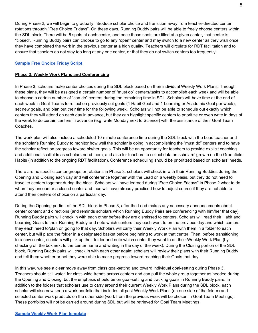During Phase 2, we will begin to gradually introduce scholar choice and transition away from teacher-directed center rotations through "Free Choice Fridays". On these days, Running Buddy pairs will be able to freely choose centers within the SDL block. There will be 6 spots at each center, and once those spots are filled at a given center, that center is "closed". Running Buddy pairs can choose to go to any "open" center and may switch to a new center as they wish once they have completed the work in the previous center at a high quality. Teachers will circulate for RDT facilitation and to ensure that scholars do not stay too long at any one center, or that they do not switch centers too frequently.

#### **[Sample](https://drive.google.com/open?id=0B3ShmG3yB4ZCVmJPejRKeUlKOFE) Free Choice Friday Script**

#### **Phase 3: Weekly Work Plans and Conferencing**

In Phase 3, scholars make center choices during the SDL block based on their individual Weekly Work Plans. Through these plans, they will be assigned a certain number of "must do" centers/tasks to accomplish each week and will be able to choose a certain number of "can do" centers during the remaining time in SDL. Scholars will have time at the end of each week in Goal Teams to reflect on previously set goals (1 Habit Goal and 1 Learning or Academic Goal per week), set new goals, and plan out their time for the following week. Scholars will not be able to schedule out exactly which centers they will attend on each day in advance, but they can highlight specific centers to prioritize or even write in days of the week to do certain centers in advance (e.g. write Monday next to Science) with the assistance of their Goal Team Coaches.

The work plan will also include a scheduled 10-minute conference time during the SDL block with the Lead teacher and the scholar's Running Buddy to monitor how well the scholar is doing in accomplishing the "must do" centers and to have the scholar reflect on progress toward his/her goals. This will be an opportunity for teachers to provide explicit coaching and additional scaffolds as scholars need them, and also for teachers to collect data on scholars' growth on the Greenfield Habits (in addition to the ongoing RDT facilitation). Conference scheduling should be prioritized based on scholars' needs.

There are no specific center groups or rotations in Phase 3; scholars will check in with their Running Buddies during the Opening and Closing each day and will conference together with the Lead on a weekly basis, but they do not need to travel to centers together during the block. Scholars will have learned during "Free Choice Fridays" in Phase 2 what to do when they encounter a closed center and thus will have already practiced how to adjust course if they are not able to attend their centers of choice on a particular day.

During the Opening portion of the SDL block in Phase 3, after the Lead makes any necessary announcements about center content and directions (and reminds scholars which Running Buddy Pairs are conferencing with him/her that day), Running Buddy pairs will check in with each other before they are dismissed to centers. Scholars will read their Habit and Learning Goals to their Running Buddy and note which centers they each went to on the previous day and which centers they each need to/plan on going to that day. Scholars will carry their Weekly Work Plan with them in a folder to each center, but will place the folder in a designated basket before beginning to work at that center. Then, before transitioning to a new center, scholars will pick up their folder and note which center they went to on their Weekly Work Plan (by checking off the box next to the center name and writing in the day of the week). During the Closing portion of the SDL block, Running Buddy pairs will check in with each other again; scholars will review their plans with their Running Buddy and tell them whether or not they were able to make progress toward reaching their Goals that day.

In this way, we see a clear move away from class goal-setting and toward individual goal-setting during Phase 3. Teachers should still watch for class-wide trends across centers and can pull the whole group together as needed during the Opening and Closing, but the emphasis should be on goal-setting and tracking goals in Running Buddy pairs. In addition to the folders that scholars use to carry around their current Weekly Work Plans during the SDL block, each scholar will also now keep a work portfolio that includes all past Weekly Work Plans (on one side of the folder) and selected center work products on the other side (work from the previous week will be chosen in Goal Team Meetings). These portfolios will not be carried around during SDL but will be retrieved for Goal Team Meetings.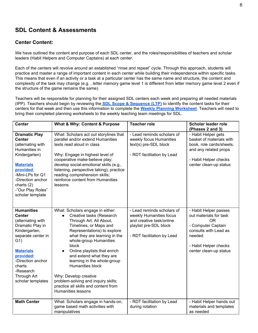# **SDL Content & Assessments**

### **Center Content:**

We have outlined the content and purpose of each SDL center, and the roles/responsibilities of teachers and scholar leaders (Habit Helpers and Computer Captains) at each center.

Each of the centers will revolve around an established "rinse and repeat" cycle. Through this approach, students will practice and master a range of important content in each center while building their independence within specific tasks. This means that even if an activity or a task at a particular center has the same name and structure, the content and complexity of the task may change (e.g. , letter memory game level 1 is different from letter memory game level 2 even if the structure of the game remains the same).

Teachers will be responsible for planning for their assigned SDL centers each week and preparing all needed materials (IPP). Teachers should begin by reviewing the **SDL Scope & [Sequence](https://drive.google.com/open?id=1beF63kfnTTvgcdYa7S_a44hpGWcYxqNzcHzRYZTkFL0) (LTP)** to identify the content tasks for their centers for that week and then use this information to complete the **Weekly Planning [Worksheet](https://drive.google.com/open?id=0B3ShmG3yB4ZCb2NPYWtQM0Y3SkE)**. Teachers will need to bring their completed planning worksheets to the weekly teaching team meetings for SDL.

| <b>Center</b>                                                                                                                                                                                                                                         | What & Why: Content & Purpose                                                                                                                                                                                                                                                                                                                                                                                                                                                               | <b>Teacher role</b>                                                                                                                       | <b>Scholar leader role</b><br>(Phases 2 and 3)                                                                                                                                |
|-------------------------------------------------------------------------------------------------------------------------------------------------------------------------------------------------------------------------------------------------------|---------------------------------------------------------------------------------------------------------------------------------------------------------------------------------------------------------------------------------------------------------------------------------------------------------------------------------------------------------------------------------------------------------------------------------------------------------------------------------------------|-------------------------------------------------------------------------------------------------------------------------------------------|-------------------------------------------------------------------------------------------------------------------------------------------------------------------------------|
| <b>Dramatic Play</b><br><b>Center</b><br>(alternating with<br>Humanities in<br>Kindergarten)<br><b>Materials</b><br>provided:<br>-Mini-LPs for Q1<br>-Direction anchor<br>charts $(2)$<br>-"Our Play Roles"<br>scholar template                       | What: Scholars act out storylines that<br>parallel and/or extend Humanities<br>texts read aloud in class<br>Why: Engage in highest level of<br>cooperative make-believe play;<br>develop social-emotional skills (e.g.,<br>listening, perspective taking); practice<br>reading comprehension skills;<br>reinforce content from Humanities<br>lessons                                                                                                                                        | - Lead reminds scholars of<br>weekly focus Humanities<br>text(s) pre-SDL block<br>- RDT facilitation by Lead                              | - Habit Helper gets<br>basket of materials with<br>book, role cards/sheets,<br>and any related props<br>- Habit Helper checks<br>center clean-up status                       |
| <b>Humanities</b><br><b>Center</b><br>(alternating with<br>Dramatic Play in<br>Kindergarten,<br>separate center in<br>G <sub>1</sub><br><b>Materials</b><br>provided:<br>-Direction anchor<br>charts<br>-Research<br>Through Art<br>scholar templates | What: Scholars engage in either:<br>Creative tasks (Research<br>$\bullet$<br>Through Art: All About,<br>Timelines, or Maps and<br>Representations) to explore<br>what they are learning in the<br>whole-group Humanities<br>block<br>Online playlists that enrich<br>$\bullet$<br>and extend what they are<br>learning in the whole-group<br>Humanities block<br>Why: Develop creative<br>problem-solving and inquiry skills;<br>practice all skills and content from<br>Humanities lessons | - Lead reminds scholars of<br>weekly Humanities focus<br>and creative task/online<br>playlist pre-SDL block<br>- RDT facilitation by Lead | - Habit Helper passes<br>out materials for task<br>0 <sub>R</sub><br>- Computer Captain<br>consults with Lead as<br>needed<br>- Habit Helper checks<br>center clean-up status |
| <b>Math Center</b>                                                                                                                                                                                                                                    | What: Scholars engage in hands-on,<br>game based math activities with<br>manipulatives                                                                                                                                                                                                                                                                                                                                                                                                      | - RDT facilitation by Lead<br>during rotation                                                                                             | - Habit Helper hands out<br>materials and templates<br>as needed                                                                                                              |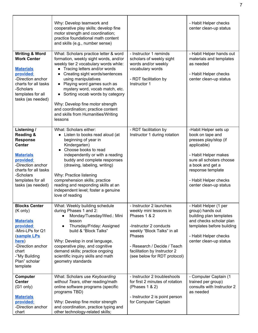|                                                                                                                                                                                                              | Why: Develop teamwork and<br>cooperative play skills; develop fine<br>motor strength and coordination;<br>practice foundational math content<br>and skills (e.g., number sense)                                                                                                                                                                                                                                                                         |                                                                                                                                                                                                                                     | - Habit Helper checks<br>center clean-up status                                                                                                                                                                                   |
|--------------------------------------------------------------------------------------------------------------------------------------------------------------------------------------------------------------|---------------------------------------------------------------------------------------------------------------------------------------------------------------------------------------------------------------------------------------------------------------------------------------------------------------------------------------------------------------------------------------------------------------------------------------------------------|-------------------------------------------------------------------------------------------------------------------------------------------------------------------------------------------------------------------------------------|-----------------------------------------------------------------------------------------------------------------------------------------------------------------------------------------------------------------------------------|
| <b>Writing &amp; Word</b><br><b>Work Center</b><br><b>Materials</b><br>provided:<br>-Direction anchor<br>charts for all tasks<br>-Scholars<br>templates for all<br>tasks (as needed)                         | What: Scholars practice letter & word<br>formation, weekly sight words, and/or<br>weekly tier 2 vocabulary words while:<br>• Tracing letters and/or words<br>• Creating sight words/sentences<br>using manipulatives<br>• Playing word games such as<br>mystery word, vocab match, etc.<br>• Sorting vocab words by category<br>Why: Develop fine motor strength<br>and coordination; practice content<br>and skills from Humanities/Writing<br>lessons | - Instructor 1 reminds<br>scholars of weekly sight<br>words and/or weekly<br>vocabulary words<br>- RDT facilitation by<br>Instructor 1                                                                                              | - Habit Helper hands out<br>materials and templates<br>as needed<br>- Habit Helper checks<br>center clean-up status                                                                                                               |
| Listening /<br><b>Reading &amp;</b><br><b>Response</b><br><b>Center</b><br><b>Materials</b><br>provided:<br>-Direction anchor<br>charts for all tasks<br>-Scholars<br>templates for all<br>tasks (as needed) | What: Scholars either:<br>• Listen to books read aloud (at<br>beginning of year in<br>Kindergarten)<br>Choose books to read<br>independently or with a reading<br>buddy and complete responses<br>(drawing, labeling, writing)<br>Why: Practice listening<br>comprehension skills; practice<br>reading and responding skills at an<br>independent level; foster a genuine<br>love of reading                                                            | - RDT facilitation by<br>Instructor 1 during rotation                                                                                                                                                                               | -Habit Helper sets up<br>book on tape and<br>presses play/stop (if<br>applicable)<br>- Habit Helper makes<br>sure all scholars choose<br>a book and get a<br>response template<br>- Habit Helper checks<br>center clean-up status |
| <b>Blocks Center</b><br>$(K \text{ only})$<br><b>Materials</b><br>provided:<br>-Mini-LPs for Q1<br><b>(sample LPs)</b><br>here)<br>-Direction anchor<br>chart<br>-"My Building<br>Plan" scholar<br>template  | What: Weekly building schedule<br>during Phases 1 and 2:<br>Monday/Tuesday/Wed.: Mini<br>lesson<br>Thursday/Friday: Assigned<br>$\bullet$<br>build & "Block Talks"<br>Why: Develop in oral language,<br>cooperative play, and cognitive<br>demand skills; practice ongoing<br>scientific inquiry skills and math<br>geometry standards                                                                                                                  | - Instructor 2 launches<br>weekly mini lessons in<br>Phases 1 & 2<br>-Instructor 2 conducts<br>weekly "Block Talks" in all<br>Phases<br>- Research / Decide / Teach<br>facilitation by Instructor 2<br>(see below for RDT protocol) | - Habit Helper (1 per<br>group) hands out<br>building plan templates<br>and checks scholar plan<br>templates before building<br>- Habit Helper checks<br>center clean-up status                                                   |
| <b>Computer</b><br><b>Center</b><br>(G1 only)<br><b>Materials</b><br>provided:<br>-Direction anchor<br>chart                                                                                                 | What: Scholars use Keyboarding<br>without Tears, other reading/math<br>online software programs (specific<br>programs TBD)<br>Why: Develop fine motor strength<br>and coordination, practice typing and<br>other technology-related skills;                                                                                                                                                                                                             | - Instructor 2 troubleshoots<br>for first 2 minutes of rotation<br>(Phases 1 & 2)<br>- Instructor 2 is point person<br>for Computer Captain                                                                                         | - Computer Captain (1<br>trained per group)<br>consults with Instructor 2<br>as needed                                                                                                                                            |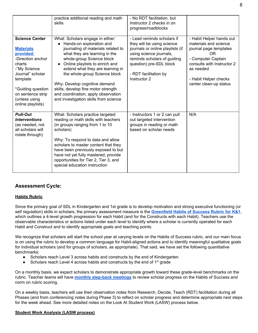|                                                                                                                                                                                                                       | practice additional reading and math<br>skills                                                                                                                                                                                                                                                                                                                                                                                  | - No RDT facilitation, but<br>Instructor 2 checks in on<br>progress/roadblocks                                                                                                                                             |                                                                                                                                                                                                              |
|-----------------------------------------------------------------------------------------------------------------------------------------------------------------------------------------------------------------------|---------------------------------------------------------------------------------------------------------------------------------------------------------------------------------------------------------------------------------------------------------------------------------------------------------------------------------------------------------------------------------------------------------------------------------|----------------------------------------------------------------------------------------------------------------------------------------------------------------------------------------------------------------------------|--------------------------------------------------------------------------------------------------------------------------------------------------------------------------------------------------------------|
| <b>Science Center</b><br><b>Materials</b><br>provided:<br>-Direction anchor<br>charts<br>-"My Science<br>Journal" scholar<br>template<br>*Guiding question<br>on sentence strip<br>(unless using<br>online playlists) | What: Scholars engage in either:<br>Hands-on exploration and<br>journaling of materials related to<br>what they are learning in the<br>whole-group Science block<br>Online playlists to enrich and<br>extend what they are learning in<br>the whole-group Science block<br>Why: Develop cognitive demand<br>skills; develop fine motor strength<br>and coordination; apply observation<br>and investigation skills from science | - Lead reminds scholars if<br>they will be using science<br>journals or online playlists (if<br>using science journals,<br>reminds scholars of guiding<br>question) pre-SDL block<br>- RDT facilitation by<br>Instructor 2 | - Habit Helper hands out<br>materials and science<br>journal page templates<br><b>OR</b><br>- Computer Captain<br>consults with Instructor 2<br>as needed<br>- Habit Helper checks<br>center clean-up status |
| <b>Pull-Out</b><br><i><u><b>Interventions</b></u></i><br>(as needed, not<br>all scholars will<br>rotate through)                                                                                                      | What: Scholars practice targeted<br>reading or math skills with teachers<br>(in groups ranging from 1 to 10)<br>scholars)<br>Why: To respond to data and allow<br>scholars to master content that they<br>have been previously exposed to but<br>have not yet fully mastered; provide<br>opportunities for Tier 2, Tier 3, and<br>special education instruction                                                                 | - Instructors 1 or 2 can pull<br>out targeted intervention<br>groups in reading or math<br>based on scholar needs                                                                                                          | N/A                                                                                                                                                                                                          |

### **Assessment Cycle:**

#### **Habits Rubric**

Since the primary goal of SDL in Kindergarten and 1st grade is to develop motivation and strong executive functioning (or self regulation) skills in scholars, the primary assessment measure is the **[Greenfield](https://docs.google.com/document/d/1euc7UAVKBV7-LIZbFleKDW4SRMTat1Y5XIYUAQVG7x0/edit) Habits of Success Rubric for K&1**, which outlines a 4-level growth progression for each Habit (and for the Constructs with each Habit). Teachers use the observable characteristics or actions listed under each level to identify where a scholar is currently operated for each Habit and Construct and to identify appropriate goals and teaching points.

We recognize that scholars will start the school year at varying levels on the Habits of Success rubric, and our main focus is on using the rubric to develop a common language for Habit-aligned actions and to identify meaningful qualitative goals for individual scholars (and for groups of scholars, as appropriate). That said, we have set the following quantitative benchmarks:

- Scholars reach Level 3 across habits and constructs by the end of Kindergarten
- Scholars reach Level 4 across habits and constructs by the end of  $1<sup>st</sup>$  grade

On a monthly basis, we expect scholars to demonstrate appropriate growth toward these grade-level benchmarks on the rubric. Teacher teams will have **monthly [step-back](https://docs.google.com/document/d/1P8H97tR7Qc_Drt4H4YPAIMhbjV8aFfxD-TRiAaVzhx0/edit) meetings** to review scholar progress on the Habits of Success and norm on rubric scoring.

On a weekly basis, teachers will use their observation notes from Research, Decide, Teach (RDT) facilitation during all Phases (and from conferencing notes during Phase 3) to reflect on scholar progress and determine appropriate next steps for the week ahead. See more detailed notes on the Look At Student Work (LASW) process below.

#### **Student Work Analysis (LASW process)**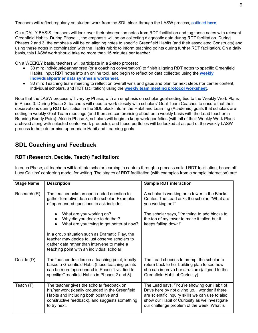Teachers will reflect regularly on student work from the SDL block through the LASW process, [outlined](https://drive.google.com/open?id=0B3ShmG3yB4ZCeDhkMzU0clVuTkk) **[here](https://drive.google.com/open?id=0B3ShmG3yB4ZCeDhkMzU0clVuTkk)**.

On a DAILY BASIS, teachers will look over their observation notes from RDT facilitation and tag these notes with relevant Greenfield Habits. During Phase 1, the emphasis will be on collecting diagnostic data during RDT facilitation. During Phases 2 and 3, the emphasis will be on aligning notes to specific Greenfield Habits (and their associated Constructs) and using these notes in combination with the Habits rubric to inform teaching points during further RDT facilitation. On a daily basis, this LASW work should take no more than 15 minutes per teacher.

On a WEEKLY basis, teachers will participate in a 2-step process:

- 30 min: Individual/partner prep (or a coaching conversation) to finish aligning RDT notes to specific Greenfield Habits, input RDT notes into an online tool, and begin to reflect on data collected using the **[weekly](https://drive.google.com/open?id=0B3ShmG3yB4ZCQ2ZtS3hUN0pnM00) [individual/partner](https://drive.google.com/open?id=0B3ShmG3yB4ZCQ2ZtS3hUN0pnM00) data synthesis worksheet**.
- 30 min: Teaching team meeting to reflect on overall wins and gaps and plan for next steps (for center content, individual scholars, and RDT facilitation) using the **weekly team meeting protocol [worksheet](https://drive.google.com/open?id=0B3ShmG3yB4ZCZnJnLWNnRkM4Umc)**.

Note that the LASW process will vary by Phase, with an emphasis on scholar goal-setting tied to the Weekly Work Plans in Phase 3. During Phase 3, teachers will need to work closely with scholars' Goal Team Coaches to ensure that their observations during RDT facilitation in the SDL block inform the Habit and Learning (Academic) goals that scholars are setting in weekly Goal Team meetings (and then are conferencing about on a weekly basis with the Lead teacher in Running Buddy Pairs). Also in Phase 3, scholars will begin to keep work portfolios (with all of their Weekly Work Plans archived along with selected center work products), and these portfolios will be looked at as part of the weekly LASW process to help determine appropriate Habit and Learning goals.

# **SDL Coaching and Feedback**

### **RDT (Research, Decide, Teach) Facilitation:**

In each Phase, all teachers will facilitate scholar learning in centers through a process called RDT facilitation, based off Lucy Calkins' conferring model for writing. The stages of RDT facilitation (with examples from a sample interaction) are:

| <b>Stage Name</b> | <b>Description</b>                                                                                                                                                                                        | <b>Sample RDT interaction</b>                                                                                                                                                                                                                    |
|-------------------|-----------------------------------------------------------------------------------------------------------------------------------------------------------------------------------------------------------|--------------------------------------------------------------------------------------------------------------------------------------------------------------------------------------------------------------------------------------------------|
| Research (R)      | The teacher asks an open-ended question to<br>gather formative data on the scholar. Examples<br>of open-ended questions to ask include:                                                                   | A scholar is working on a tower in the Blocks<br>Center. The Lead asks the scholar, "What are<br>you working on?"                                                                                                                                |
|                   | What are you working on?<br>Why did you decide to do that?<br>What are you trying to get better at now?                                                                                                   | The scholar says, "I'm trying to add blocks to<br>the top of my tower to make it taller, but it<br>keeps falling down!"                                                                                                                          |
|                   | In a group situation such as Dramatic Play, the<br>teacher may decide to just observe scholars to<br>gather data rather than intervene to make a<br>teaching point with an individual scholar.            |                                                                                                                                                                                                                                                  |
| Decide (D)        | The teacher decides on a teaching point, ideally<br>based a Greenfield Habit (these teaching points<br>can be more open-ended in Phase 1 vs. tied to<br>specific Greenfield Habits in Phases 2 and 3).    | The Lead chooses to prompt the scholar to<br>return back to her building plan to see how<br>she can improve her structure (aligned to the<br>Greenfield Habit of Curiosity).                                                                     |
| Teach (T)         | The teacher gives the scholar feedback on<br>his/her work (ideally grounded in the Greenfield<br>Habits and including both positive and<br>constructive feedback), and suggests something<br>to try next. | The Lead says, "You're showing our Habit of<br>Drive here by not giving up. I wonder if there<br>are scientific inquiry skills we can use to also<br>show our Habit of Curiosity as we investigate<br>our challenge problem of the week. What is |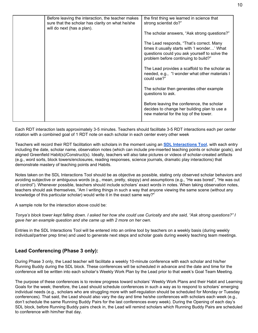|                                                                                                                                     | the first thing we learned in science that                                                                                                                                        |
|-------------------------------------------------------------------------------------------------------------------------------------|-----------------------------------------------------------------------------------------------------------------------------------------------------------------------------------|
| Before leaving the interaction, the teacher makes<br>sure that the scholar has clarity on what he/she<br>will do next (has a plan). | strong scientist do?"                                                                                                                                                             |
|                                                                                                                                     | The scholar answers, "Ask strong questions?"                                                                                                                                      |
|                                                                                                                                     | The Lead responds, "That's correct. Many<br>times it usually starts with 'I wonder' What<br>questions could you ask yourself to solve the<br>problem before continuing to build?" |
|                                                                                                                                     | The Lead provides a scaffold to the scholar as<br>needed, e.g., "I wonder what other materials I<br>could use?"                                                                   |
|                                                                                                                                     | The scholar then generates other example<br>questions to ask.                                                                                                                     |
|                                                                                                                                     | Before leaving the conference, the scholar<br>decides to change her building plan to use a<br>new material for the top of the tower.                                              |

Each RDT interaction lasts approximately 3-5 minutes. Teachers should facilitate 3-5 RDT interactions each per center rotation with a combined goal of 1 RDT note on each scholar in each center every other week

Teachers will record their RDT facilitation with scholars in the moment using an **SDL [Interactions](https://drive.google.com/open?id=0B3ShmG3yB4ZCcVlVd2hPUFc2X2c) Tool**, with each entry including the date, scholar name, observation notes (which can include pre-inserted teaching points or scholar goals), and aligned Greenfield Habit(s)/Construct(s). Ideally, teachers will also take pictures or videos of scholar-created artifacts (e.g., word sorts, block towers/enclosures, reading responses, science journals, dramatic play interactions) that demonstrate mastery of teaching points and Habits.

Notes taken on the SDL Interactions Tool should be as objective as possible, stating only observed scholar behaviors and avoiding subjective or ambiguous words (e.g., mean, pretty, sloppy) and assumptions (e.g., "He was bored", "He was out of control"). Whenever possible, teachers should include scholars' exact words in notes. When taking observation notes, teachers should ask themselves, "Am I writing things in such a way that anyone viewing the same scene (without any knowledge of this particular scholar) would write it in the exact same way?"

A sample note for the interaction above could be:

Tonya's block tower kept falling down. I asked her how she could use Curiosity and she said, "Ask strong questions?" I *gave her an example question and she came up with 2 more on her own.*

Entries in the SDL Interactions Tool will be entered into an online tool by teachers on a weekly basis (during weekly individual/partner prep time) and used to generate next steps and scholar goals during weekly teaching team meetings.

# **Lead Conferencing (Phase 3 only):**

During Phase 3 only, the Lead teacher will facilitate a weekly 10-minute conference with each scholar and his/her Running Buddy during the SDL block. These conferences will be scheduled in advance and the date and time for the conference will be written into each scholar's Weekly Work Plan by the Lead prior to that week's Goal Team Meeting.

The purpose of these conferences is to review progress toward scholars' Weekly Work Plans and their Habit and Learning Goals for the week; therefore, the Lead should schedule conferences in such a way as to respond to scholars' emerging individual needs (e.g., scholars who are struggling more with self-regulation should be scheduled for Monday or Tuesday conferences). That said, the Lead should also vary the day and time he/she conferences with scholars each week (e.g., don't schedule the same Running Buddy Pairs for the last conferences every week). During the Opening of each day's SDL block, before Running Buddy pairs check in, the Lead will remind scholars which Running Buddy Pairs are scheduled to conference with him/her that day.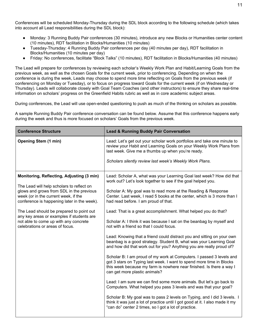Conferences will be scheduled Monday-Thursday during the SDL block according to the following schedule (which takes into account all Lead responsibilities during the SDL block):

- Monday: 3 Running Buddy Pair conferences (30 minutes), introduce any new Blocks or Humanities center content (10 minutes), RDT facilitation in Blocks/Humanities (10 minutes)
- Tuesday-Thursday: 4 Running Buddy Pair conferences per day (40 minutes per day), RDT facilitation in Blocks/Humanities (10 minutes per day)
- Friday: No conferences, facilitate "Block Talks" (10 minutes), RDT facilitation in Blocks/Humanities (40 minutes)

The Lead will prepare for conferences by reviewing each scholar's Weekly Work Plan and Habit/Learning Goals from the previous week, as well as the chosen Goals for the current week, prior to conferencing. Depending on when the conference is during the week, Leads may choose to spend more time reflecting on Goals from the previous week (if conferencing on Monday or Tuesday), or to focus on progress toward Goals for the current week (if on Wednesday or Thursday). Leads will collaborate closely with Goal Team Coaches (and other instructors) to ensure they share real-time information on scholars' progress on the Greenfield Habits rubric as well as in core academic subject areas.

During conferences, the Lead will use open-ended questioning to push as much of the thinking on scholars as possible.

A sample Running Buddy Pair conference conversation can be found below. Assume that this conference happens early during the week and thus is more focused on scholars' Goals from the previous week.

| <b>Conference Structure</b>                                                                                                     | <b>Lead &amp; Running Buddy Pair Conversation</b>                                                                                                                                                                                                     |
|---------------------------------------------------------------------------------------------------------------------------------|-------------------------------------------------------------------------------------------------------------------------------------------------------------------------------------------------------------------------------------------------------|
| <b>Opening Stem (1 min)</b>                                                                                                     | Lead: Let's get out your scholar work portfolios and take one minute to<br>review your Habit and Learning Goals on your Weekly Work Plans from<br>last week. Give me a thumbs up when you're ready.                                                   |
|                                                                                                                                 | Scholars silently review last week's Weekly Work Plans.                                                                                                                                                                                               |
| Monitoring, Reflecting, Adjusting (3 min)<br>The Lead will help scholars to reflect on                                          | Lead: Scholar A, what was your Learning Goal last week? How did that<br>work out? Let's look together to see if the goal helped you.                                                                                                                  |
| glows and grows from SDL in the previous<br>week (or in the current week, if the<br>conference is happening later in the week). | Scholar A: My goal was to read more at the Reading & Response<br>Center. Last week, I read 5 books at the center, which is 3 more than I<br>had read before. I am proud of that.                                                                      |
| The Lead should be prepared to point out<br>any key areas or examples if students are                                           | Lead: That is a great accomplishment. What helped you do that?                                                                                                                                                                                        |
| not able to come up with any concrete<br>celebrations or areas of focus.                                                        | Scholar A: I think it was because I sat on the beanbag by myself and<br>not with a friend so that I could focus.                                                                                                                                      |
|                                                                                                                                 | Lead: Knowing that a friend could distract you and sitting on your own<br>beanbag is a good strategy. Student B, what was your Learning Goal<br>and how did that work out for you? Anything you are really proud of?                                  |
|                                                                                                                                 | Scholar B: I am proud of my work at Computers. I passed 3 levels and<br>got 3 stars on Typing last week. I want to spend more time in Blocks<br>this week because my farm is nowhere near finished. Is there a way I<br>can get more plastic animals? |
|                                                                                                                                 | Lead: I am sure we can find some more animals. But let's go back to<br>Computers. What helped you pass 3 levels and was that your goal?                                                                                                               |
|                                                                                                                                 | Scholar B: My goal was to pass 2 levels on Typing, and I did 3 levels. I<br>think it was just a lot of practice until I got good at it. I also made it my<br>"can do" center 2 times, so I got a lot of practice.                                     |
|                                                                                                                                 |                                                                                                                                                                                                                                                       |